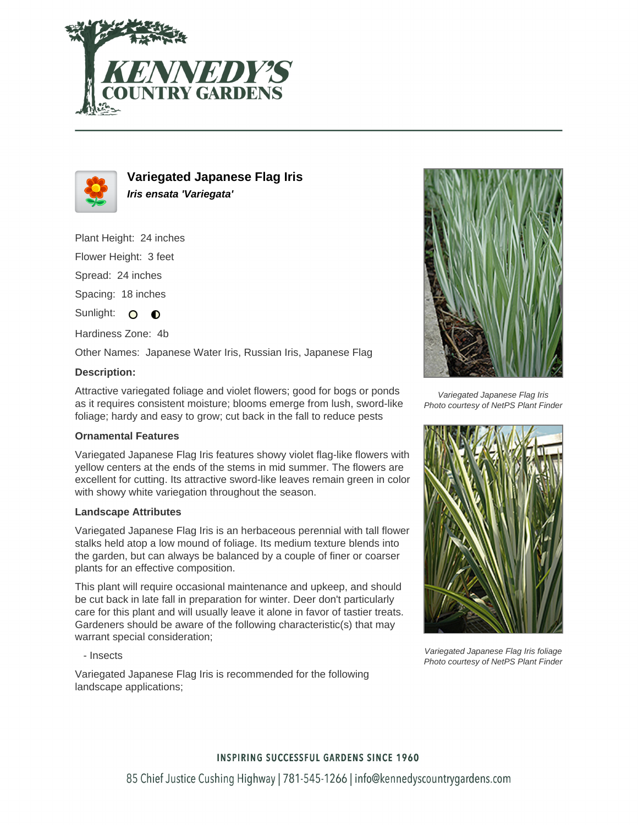



# **Variegated Japanese Flag Iris Iris ensata 'Variegata'**

Plant Height: 24 inches

Flower Height: 3 feet

Spread: 24 inches

Spacing: 18 inches

Sunlight: O  $\bullet$ 

Hardiness Zone: 4b

Other Names: Japanese Water Iris, Russian Iris, Japanese Flag

## **Description:**

Attractive variegated foliage and violet flowers; good for bogs or ponds as it requires consistent moisture; blooms emerge from lush, sword-like foliage; hardy and easy to grow; cut back in the fall to reduce pests

## **Ornamental Features**

Variegated Japanese Flag Iris features showy violet flag-like flowers with yellow centers at the ends of the stems in mid summer. The flowers are excellent for cutting. Its attractive sword-like leaves remain green in color with showy white variegation throughout the season.

#### **Landscape Attributes**

Variegated Japanese Flag Iris is an herbaceous perennial with tall flower stalks held atop a low mound of foliage. Its medium texture blends into the garden, but can always be balanced by a couple of finer or coarser plants for an effective composition.

This plant will require occasional maintenance and upkeep, and should be cut back in late fall in preparation for winter. Deer don't particularly care for this plant and will usually leave it alone in favor of tastier treats. Gardeners should be aware of the following characteristic(s) that may warrant special consideration;

- Insects

Variegated Japanese Flag Iris is recommended for the following landscape applications;



Variegated Japanese Flag Iris Photo courtesy of NetPS Plant Finder



Variegated Japanese Flag Iris foliage Photo courtesy of NetPS Plant Finder

## **INSPIRING SUCCESSFUL GARDENS SINCE 1960**